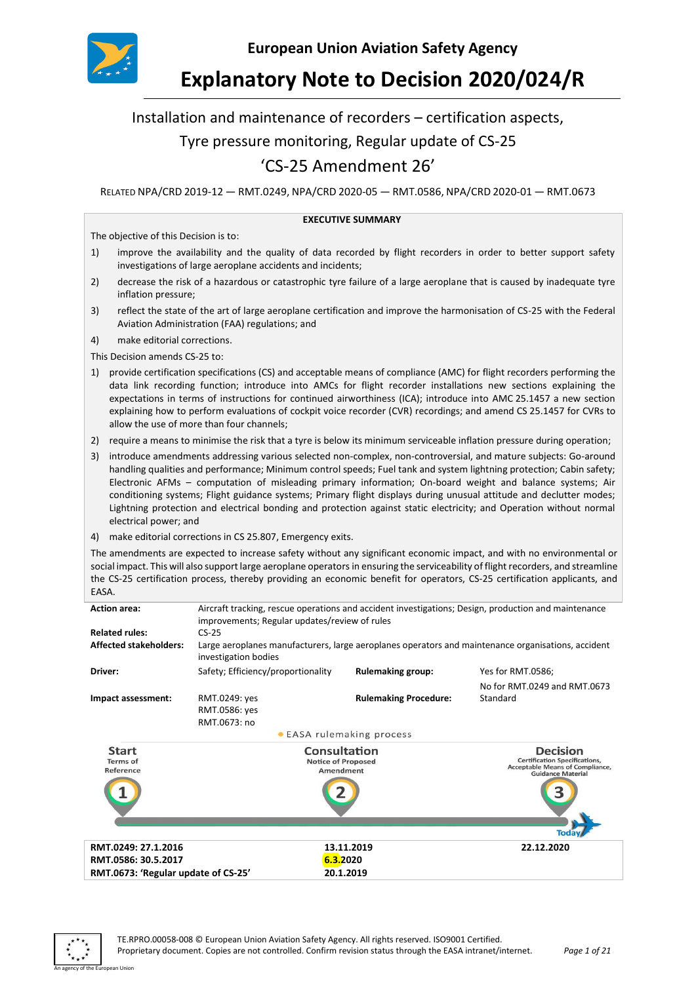

# **Explanatory Note to Decision 2020/024/R**

# Installation and maintenance of recorders – certification aspects,

# Tyre pressure monitoring, Regular update of CS-25

# 'CS-25 Amendment 26'

RELATED NPA/CRD 2019-12 — RMT.0249, NPA/CRD 2020-05 — RMT.0586, NPA/CRD 2020-01 — RMT.0673

#### **EXECUTIVE SUMMARY**

The objective of this Decision is to:

- 1) improve the availability and the quality of data recorded by flight recorders in order to better support safety investigations of large aeroplane accidents and incidents;
- 2) decrease the risk of a hazardous or catastrophic tyre failure of a large aeroplane that is caused by inadequate tyre inflation pressure;
- 3) reflect the state of the art of large aeroplane certification and improve the harmonisation of CS-25 with the Federal Aviation Administration (FAA) regulations; and
- 4) make editorial corrections.

This Decision amends CS-25 to:

- 1) provide certification specifications (CS) and acceptable means of compliance (AMC) for flight recorders performing the data link recording function; introduce into AMCs for flight recorder installations new sections explaining the expectations in terms of instructions for continued airworthiness (ICA); introduce into AMC 25.1457 a new section explaining how to perform evaluations of cockpit voice recorder (CVR) recordings; and amend CS 25.1457 for CVRs to allow the use of more than four channels;
- 2) require a means to minimise the risk that a tyre is below its minimum serviceable inflation pressure during operation;
- 3) introduce amendments addressing various selected non-complex, non-controversial, and mature subjects: Go-around handling qualities and performance; Minimum control speeds; Fuel tank and system lightning protection; Cabin safety; Electronic AFMs – computation of misleading primary information; On-board weight and balance systems; Air conditioning systems; Flight guidance systems; Primary flight displays during unusual attitude and declutter modes; Lightning protection and electrical bonding and protection against static electricity; and Operation without normal electrical power; and
- 4) make editorial corrections in CS 25.807, Emergency exits.

The amendments are expected to increase safety without any significant economic impact, and with no environmental or social impact. This will also support large aeroplane operators in ensuring the serviceability of flight recorders, and streamline the CS-25 certification process, thereby providing an economic benefit for operators, CS-25 certification applicants, and EASA.

| <b>Action area:</b>                          | Aircraft tracking, rescue operations and accident investigations; Design, production and maintenance<br>improvements; Regular updates/review of rules |                              |                                                                                                                               |  |
|----------------------------------------------|-------------------------------------------------------------------------------------------------------------------------------------------------------|------------------------------|-------------------------------------------------------------------------------------------------------------------------------|--|
| <b>Related rules:</b>                        | $CS-25$                                                                                                                                               |                              |                                                                                                                               |  |
| <b>Affected stakeholders:</b>                | Large aeroplanes manufacturers, large aeroplanes operators and maintenance organisations, accident<br>investigation bodies                            |                              |                                                                                                                               |  |
| Driver:                                      | Safety; Efficiency/proportionality                                                                                                                    | <b>Rulemaking group:</b>     | Yes for RMT.0586;                                                                                                             |  |
|                                              |                                                                                                                                                       |                              | No for RMT.0249 and RMT.0673                                                                                                  |  |
| Impact assessment:                           | RMT.0249: yes                                                                                                                                         | <b>Rulemaking Procedure:</b> | Standard                                                                                                                      |  |
|                                              | RMT.0586: yes                                                                                                                                         |                              |                                                                                                                               |  |
|                                              | RMT.0673: no                                                                                                                                          |                              |                                                                                                                               |  |
|                                              |                                                                                                                                                       | • EASA rulemaking process    |                                                                                                                               |  |
| <b>Start</b><br><b>Terms</b> of<br>Reference | Consultation<br><b>Notice of Proposed</b><br>Amendment                                                                                                |                              | <b>Decision</b><br><b>Certification Specifications,</b><br><b>Acceptable Means of Compliance,</b><br><b>Guidance Material</b> |  |
|                                              |                                                                                                                                                       |                              |                                                                                                                               |  |
|                                              |                                                                                                                                                       |                              | Toda                                                                                                                          |  |
| RMT.0249: 27.1.2016                          |                                                                                                                                                       | 13.11.2019                   | 22.12.2020                                                                                                                    |  |
| RMT.0586: 30.5.2017                          |                                                                                                                                                       | 6.3.2020                     |                                                                                                                               |  |
| RMT.0673: 'Regular update of CS-25'          |                                                                                                                                                       | 20.1.2019                    |                                                                                                                               |  |



In an agency of the Europe and Library and Library and Library and Library and Library and Library and Library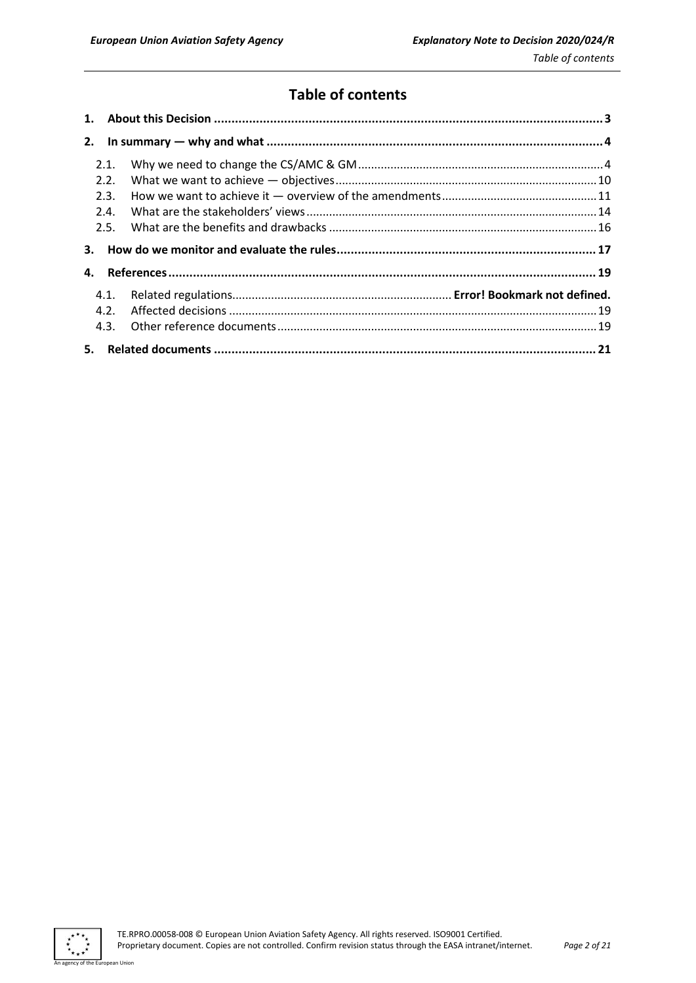# **Table of contents**

| 2. |      |  |  |
|----|------|--|--|
|    | 2.1. |  |  |
|    | 2.2. |  |  |
|    | 2.3. |  |  |
|    | 2.4. |  |  |
|    | 2.5. |  |  |
| 3. |      |  |  |
| 4. |      |  |  |
|    | 4.1. |  |  |
|    | 4.2. |  |  |
|    | 4.3. |  |  |
| 5. |      |  |  |

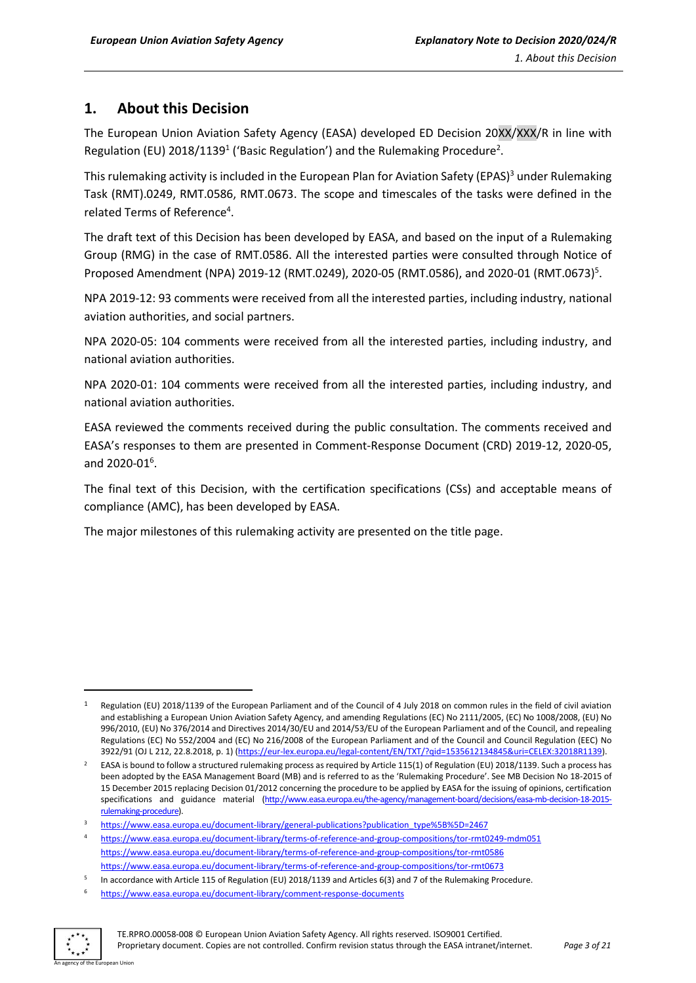# <span id="page-2-0"></span>**1. About this Decision**

The European Union Aviation Safety Agency (EASA) developed ED Decision 20XX/XXX/R in line with Regulation (EU) 2018/1139<sup>1</sup> ('Basic Regulation') and the Rulemaking Procedure<sup>2</sup>.

This rulemaking activity is included in the European Plan for Aviation Safety (EPAS)<sup>3</sup> under Rulemaking Task (RMT).0249, RMT.0586, RMT.0673. The scope and timescales of the tasks were defined in the related Terms of Reference<sup>4</sup>.

The draft text of this Decision has been developed by EASA, and based on the input of a Rulemaking Group (RMG) in the case of RMT.0586. All the interested parties were consulted through Notice of Proposed Amendment (NPA) 2019-12 (RMT.0249), 2020-05 (RMT.0586), and 2020-01 (RMT.0673)<sup>5</sup>.

NPA 2019-12: 93 comments were received from all the interested parties, including industry, national aviation authorities, and social partners.

NPA 2020-05: 104 comments were received from all the interested parties, including industry, and national aviation authorities.

NPA 2020-01: 104 comments were received from all the interested parties, including industry, and national aviation authorities.

EASA reviewed the comments received during the public consultation. The comments received and EASA's responses to them are presented in Comment-Response Document (CRD) 2019-12, 2020-05, and 2020-01<sup>6</sup>.

The final text of this Decision, with the certification specifications (CSs) and acceptable means of compliance (AMC), has been developed by EASA.

The major milestones of this rulemaking activity are presented on the title page.

<sup>6</sup> <https://www.easa.europa.eu/document-library/comment-response-documents>



Regulation (EU) 2018/1139 of the European Parliament and of the Council of 4 July 2018 on common rules in the field of civil aviation and establishing a European Union Aviation Safety Agency, and amending Regulations (EC) No 2111/2005, (EC) No 1008/2008, (EU) No 996/2010, (EU) No 376/2014 and Directives 2014/30/EU and 2014/53/EU of the European Parliament and of the Council, and repealing Regulations (EC) No 552/2004 and (EC) No 216/2008 of the European Parliament and of the Council and Council Regulation (EEC) No 3922/91 (OJ L 212, 22.8.2018, p. 1) [\(https://eur-lex.europa.eu/legal-content/EN/TXT/?qid=1535612134845&uri=CELEX:32018R1139\)](https://eur-lex.europa.eu/legal-content/EN/TXT/?qid=1535612134845&uri=CELEX:32018R1139).

<sup>&</sup>lt;sup>2</sup> EASA is bound to follow a structured rulemaking process as required by Article 115(1) of Regulation (EU) 2018/1139. Such a process has been adopted by the EASA Management Board (MB) and is referred to as the 'Rulemaking Procedure'. See MB Decision No 18-2015 of 15 December 2015 replacing Decision 01/2012 concerning the procedure to be applied by EASA for the issuing of opinions, certification specifications and guidance material (http://www.easa.europa.eu/the-agency/management-board/decisions-material [rulemaking-procedure\).](http://www.easa.europa.eu/the-agency/management-board/decisions/easa-mb-decision-18-2015-rulemaking-procedure)

[https://www.easa.europa.eu/document-library/general-publications?publication\\_type%5B%5D=2467](https://www.easa.europa.eu/document-library/general-publications?publication_type%5B%5D=2467)

<sup>4</sup> <https://www.easa.europa.eu/document-library/terms-of-reference-and-group-compositions/tor-rmt0249-mdm051> <https://www.easa.europa.eu/document-library/terms-of-reference-and-group-compositions/tor-rmt0586> <https://www.easa.europa.eu/document-library/terms-of-reference-and-group-compositions/tor-rmt0673>

<sup>5</sup> In accordance with Article 115 of Regulation (EU) 2018/1139 and Articles 6(3) and 7 of the Rulemaking Procedure.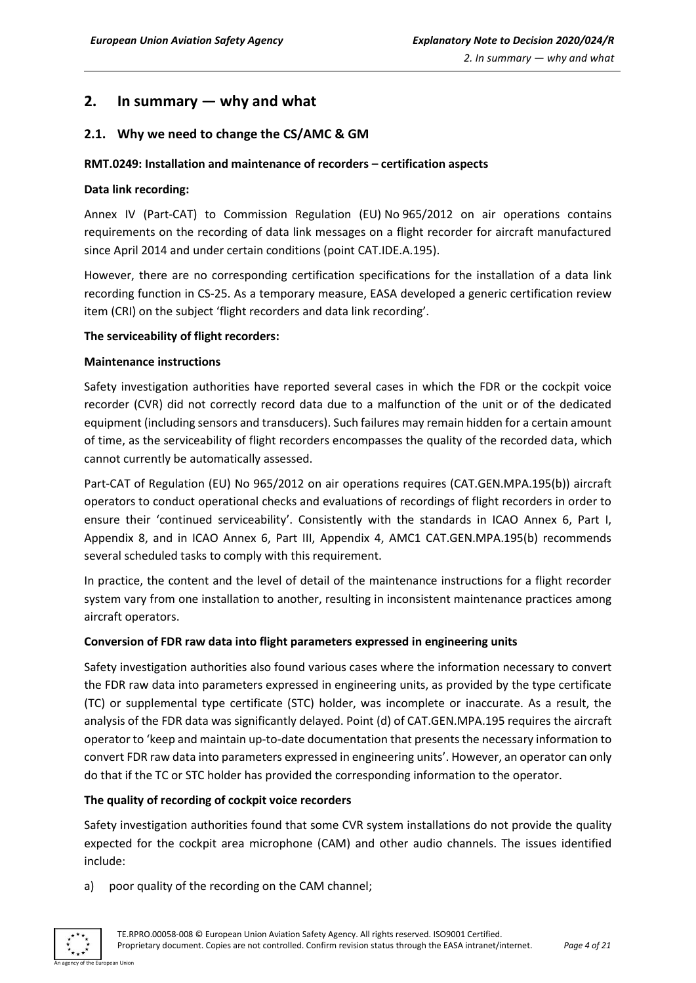# <span id="page-3-0"></span>**2. In summary — why and what**

# <span id="page-3-1"></span>**2.1. Why we need to change the CS/AMC & GM**

### **RMT.0249: Installation and maintenance of recorders – certification aspects**

### **Data link recording:**

Annex IV (Part-CAT) to Commission Regulation (EU) No 965/2012 on air operations contains requirements on the recording of data link messages on a flight recorder for aircraft manufactured since April 2014 and under certain conditions (point CAT.IDE.A.195).

However, there are no corresponding certification specifications for the installation of a data link recording function in CS-25. As a temporary measure, EASA developed a generic certification review item (CRI) on the subject 'flight recorders and data link recording'.

#### **The serviceability of flight recorders:**

# **Maintenance instructions**

Safety investigation authorities have reported several cases in which the FDR or the cockpit voice recorder (CVR) did not correctly record data due to a malfunction of the unit or of the dedicated equipment (including sensors and transducers). Such failures may remain hidden for a certain amount of time, as the serviceability of flight recorders encompasses the quality of the recorded data, which cannot currently be automatically assessed.

Part-CAT of Regulation (EU) No 965/2012 on air operations requires (CAT.GEN.MPA.195(b)) aircraft operators to conduct operational checks and evaluations of recordings of flight recorders in order to ensure their 'continued serviceability'. Consistently with the standards in ICAO Annex 6, Part I, Appendix 8, and in ICAO Annex 6, Part III, Appendix 4, AMC1 CAT.GEN.MPA.195(b) recommends several scheduled tasks to comply with this requirement.

In practice, the content and the level of detail of the maintenance instructions for a flight recorder system vary from one installation to another, resulting in inconsistent maintenance practices among aircraft operators.

#### **Conversion of FDR raw data into flight parameters expressed in engineering units**

Safety investigation authorities also found various cases where the information necessary to convert the FDR raw data into parameters expressed in engineering units, as provided by the type certificate (TC) or supplemental type certificate (STC) holder, was incomplete or inaccurate. As a result, the analysis of the FDR data was significantly delayed. Point (d) of CAT.GEN.MPA.195 requires the aircraft operator to 'keep and maintain up-to-date documentation that presents the necessary information to convert FDR raw data into parameters expressed in engineering units'. However, an operator can only do that if the TC or STC holder has provided the corresponding information to the operator.

#### **The quality of recording of cockpit voice recorders**

Safety investigation authorities found that some CVR system installations do not provide the quality expected for the cockpit area microphone (CAM) and other audio channels. The issues identified include:

a) poor quality of the recording on the CAM channel;

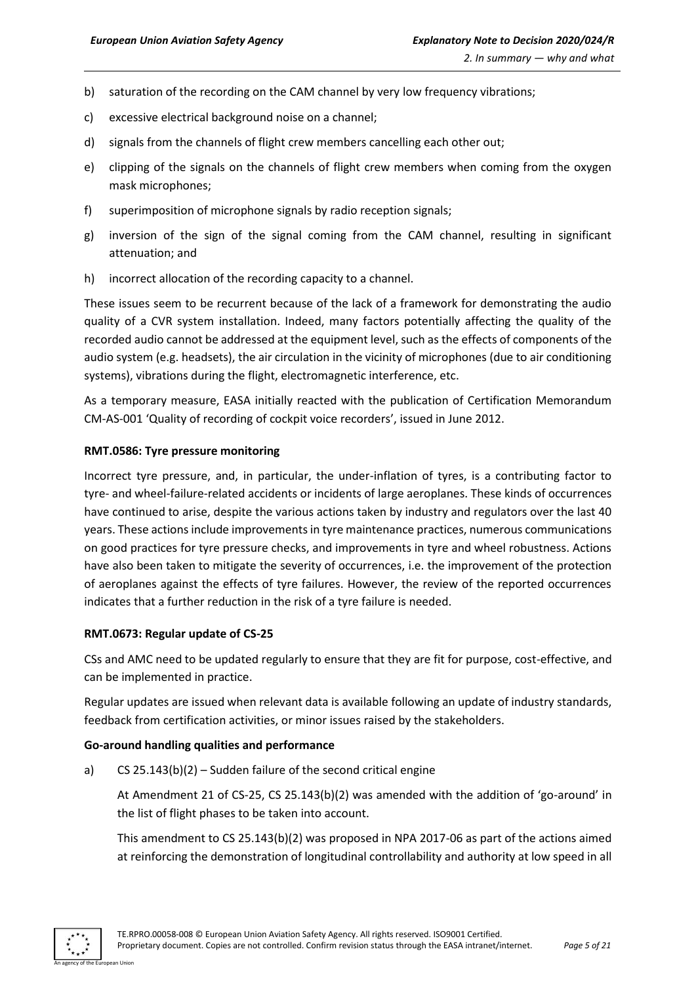- b) saturation of the recording on the CAM channel by very low frequency vibrations;
- c) excessive electrical background noise on a channel;
- d) signals from the channels of flight crew members cancelling each other out;
- e) clipping of the signals on the channels of flight crew members when coming from the oxygen mask microphones;
- f) superimposition of microphone signals by radio reception signals;
- g) inversion of the sign of the signal coming from the CAM channel, resulting in significant attenuation; and
- h) incorrect allocation of the recording capacity to a channel.

These issues seem to be recurrent because of the lack of a framework for demonstrating the audio quality of a CVR system installation. Indeed, many factors potentially affecting the quality of the recorded audio cannot be addressed at the equipment level, such as the effects of components of the audio system (e.g. headsets), the air circulation in the vicinity of microphones (due to air conditioning systems), vibrations during the flight, electromagnetic interference, etc.

As a temporary measure, EASA initially reacted with the publication of Certification Memorandum CM-AS-001 'Quality of recording of cockpit voice recorders', issued in June 2012.

# **RMT.0586: Tyre pressure monitoring**

Incorrect tyre pressure, and, in particular, the under-inflation of tyres, is a contributing factor to tyre- and wheel-failure-related accidents or incidents of large aeroplanes. These kinds of occurrences have continued to arise, despite the various actions taken by industry and regulators over the last 40 years. These actions include improvements in tyre maintenance practices, numerous communications on good practices for tyre pressure checks, and improvements in tyre and wheel robustness. Actions have also been taken to mitigate the severity of occurrences, i.e. the improvement of the protection of aeroplanes against the effects of tyre failures. However, the review of the reported occurrences indicates that a further reduction in the risk of a tyre failure is needed.

#### **RMT.0673: Regular update of CS-25**

CSs and AMC need to be updated regularly to ensure that they are fit for purpose, cost-effective, and can be implemented in practice.

Regular updates are issued when relevant data is available following an update of industry standards, feedback from certification activities, or minor issues raised by the stakeholders.

#### **Go-around handling qualities and performance**

a) CS 25.143(b)(2) – Sudden failure of the second critical engine

At Amendment 21 of CS-25, CS 25.143(b)(2) was amended with the addition of 'go-around' in the list of flight phases to be taken into account.

This amendment to CS 25.143(b)(2) was proposed in NPA 2017-06 as part of the actions aimed at reinforcing the demonstration of longitudinal controllability and authority at low speed in all

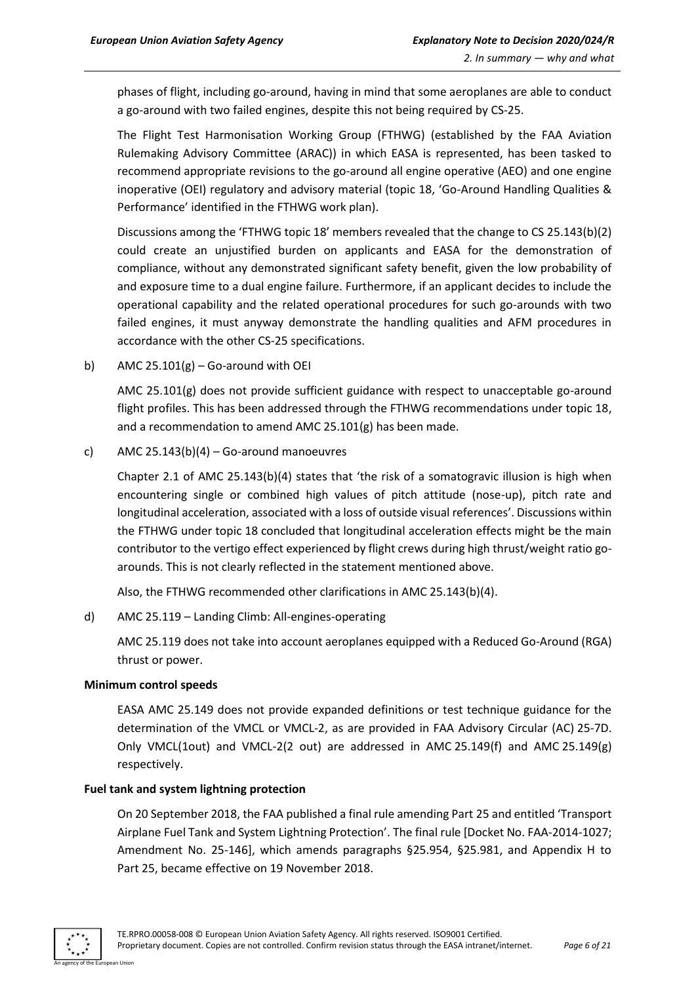phases of flight, including go-around, having in mind that some aeroplanes are able to conduct a go-around with two failed engines, despite this not being required by CS-25.

The Flight Test Harmonisation Working Group (FTHWG) (established by the FAA Aviation Rulemaking Advisory Committee (ARAC)) in which EASA is represented, has been tasked to recommend appropriate revisions to the go-around all engine operative (AEO) and one engine inoperative (OEI) regulatory and advisory material (topic 18, 'Go-Around Handling Qualities & Performance' identified in the FTHWG work plan).

Discussions among the 'FTHWG topic 18' members revealed that the change to CS 25.143(b)(2) could create an unjustified burden on applicants and EASA for the demonstration of compliance, without any demonstrated significant safety benefit, given the low probability of and exposure time to a dual engine failure. Furthermore, if an applicant decides to include the operational capability and the related operational procedures for such go-arounds with two failed engines, it must anyway demonstrate the handling qualities and AFM procedures in accordance with the other CS-25 specifications.

b) AMC  $25.101(g) -$  Go-around with OEI

AMC 25.101(g) does not provide sufficient guidance with respect to unacceptable go-around flight profiles. This has been addressed through the FTHWG recommendations under topic 18, and a recommendation to amend AMC 25.101(g) has been made.

c) AMC  $25.143(b)(4) - Go$ -around manoeuvres

Chapter 2.1 of AMC 25.143(b)(4) states that 'the risk of a somatogravic illusion is high when encountering single or combined high values of pitch attitude (nose-up), pitch rate and longitudinal acceleration, associated with a loss of outside visual references'. Discussions within the FTHWG under topic 18 concluded that longitudinal acceleration effects might be the main contributor to the vertigo effect experienced by flight crews during high thrust/weight ratio goarounds. This is not clearly reflected in the statement mentioned above.

Also, the FTHWG recommended other clarifications in AMC 25.143(b)(4).

d) AMC 25.119 – Landing Climb: All-engines-operating

AMC 25.119 does not take into account aeroplanes equipped with a Reduced Go-Around (RGA) thrust or power.

#### **Minimum control speeds**

EASA AMC 25.149 does not provide expanded definitions or test technique guidance for the determination of the VMCL or VMCL-2, as are provided in FAA Advisory Circular (AC) 25-7D. Only VMCL(1out) and VMCL-2(2 out) are addressed in AMC 25.149(f) and AMC 25.149(g) respectively.

#### **Fuel tank and system lightning protection**

On 20 September 2018, the FAA published a final rule amending Part 25 and entitled 'Transport Airplane Fuel Tank and System Lightning Protection'. The final rule [Docket No. FAA-2014-1027; Amendment No. 25-146], which amends paragraphs §25.954, §25.981, and Appendix H to Part 25, became effective on 19 November 2018.

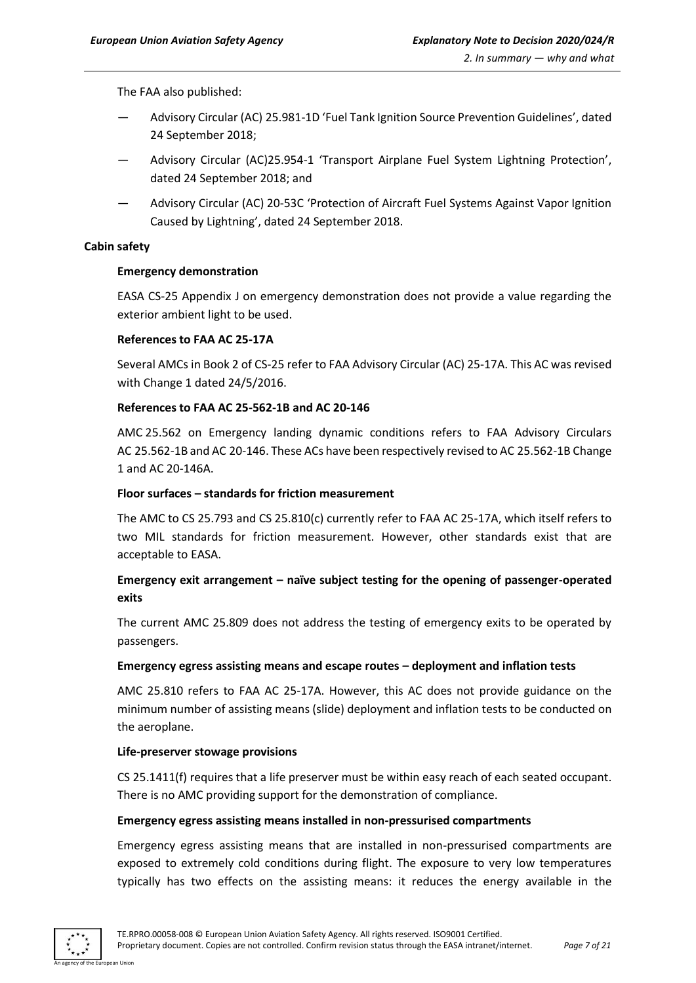The FAA also published:

- Advisory Circular (AC) 25.981-1D 'Fuel Tank Ignition Source Prevention Guidelines', dated 24 September 2018;
- Advisory Circular (AC)25.954-1 'Transport Airplane Fuel System Lightning Protection', dated 24 September 2018; and
- Advisory Circular (AC) 20-53C 'Protection of Aircraft Fuel Systems Against Vapor Ignition Caused by Lightning', dated 24 September 2018.

#### **Cabin safety**

#### **Emergency demonstration**

EASA CS-25 Appendix J on emergency demonstration does not provide a value regarding the exterior ambient light to be used.

#### **References to FAA AC 25-17A**

Several AMCs in Book 2 of CS-25 refer to FAA Advisory Circular (AC) 25-17A. This AC was revised with Change 1 dated 24/5/2016.

#### **References to FAA AC 25-562-1B and AC 20-146**

AMC 25.562 on Emergency landing dynamic conditions refers to FAA Advisory Circulars AC 25.562-1B and AC 20-146. These ACs have been respectively revised to AC 25.562-1B Change 1 and AC 20-146A.

#### **Floor surfaces – standards for friction measurement**

The AMC to CS 25.793 and CS 25.810(c) currently refer to FAA AC 25-17A, which itself refers to two MIL standards for friction measurement. However, other standards exist that are acceptable to EASA.

# **Emergency exit arrangement – naïve subject testing for the opening of passenger-operated exits**

The current AMC 25.809 does not address the testing of emergency exits to be operated by passengers.

#### **Emergency egress assisting means and escape routes – deployment and inflation tests**

AMC 25.810 refers to FAA AC 25-17A. However, this AC does not provide guidance on the minimum number of assisting means (slide) deployment and inflation tests to be conducted on the aeroplane.

#### **Life-preserver stowage provisions**

CS 25.1411(f) requires that a life preserver must be within easy reach of each seated occupant. There is no AMC providing support for the demonstration of compliance.

#### **Emergency egress assisting means installed in non-pressurised compartments**

Emergency egress assisting means that are installed in non-pressurised compartments are exposed to extremely cold conditions during flight. The exposure to very low temperatures typically has two effects on the assisting means: it reduces the energy available in the

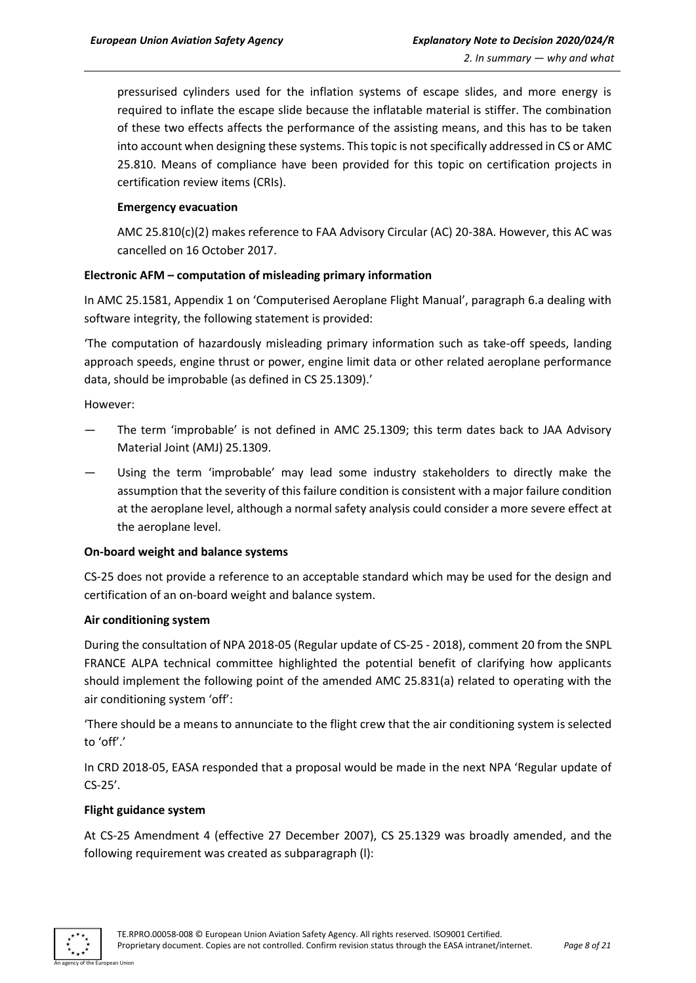pressurised cylinders used for the inflation systems of escape slides, and more energy is required to inflate the escape slide because the inflatable material is stiffer. The combination of these two effects affects the performance of the assisting means, and this has to be taken into account when designing these systems. This topic is not specifically addressed in CS or AMC 25.810. Means of compliance have been provided for this topic on certification projects in certification review items (CRIs).

# **Emergency evacuation**

AMC 25.810(c)(2) makes reference to FAA Advisory Circular (AC) 20-38A. However, this AC was cancelled on 16 October 2017.

#### **Electronic AFM – computation of misleading primary information**

In AMC 25.1581, Appendix 1 on 'Computerised Aeroplane Flight Manual', paragraph 6.a dealing with software integrity, the following statement is provided:

'The computation of hazardously misleading primary information such as take-off speeds, landing approach speeds, engine thrust or power, engine limit data or other related aeroplane performance data, should be improbable (as defined in CS 25.1309).'

However:

- The term 'improbable' is not defined in AMC 25.1309; this term dates back to JAA Advisory Material Joint (AMJ) 25.1309.
- Using the term 'improbable' may lead some industry stakeholders to directly make the assumption that the severity of this failure condition is consistent with a major failure condition at the aeroplane level, although a normal safety analysis could consider a more severe effect at the aeroplane level.

#### **On-board weight and balance systems**

CS-25 does not provide a reference to an acceptable standard which may be used for the design and certification of an on-board weight and balance system.

#### **Air conditioning system**

During the consultation of NPA 2018-05 (Regular update of CS-25 - 2018), comment 20 from the SNPL FRANCE ALPA technical committee highlighted the potential benefit of clarifying how applicants should implement the following point of the amended AMC 25.831(a) related to operating with the air conditioning system 'off':

'There should be a means to annunciate to the flight crew that the air conditioning system is selected to 'off'.'

In CRD 2018-05, EASA responded that a proposal would be made in the next NPA 'Regular update of CS-25'.

#### **Flight guidance system**

At CS-25 Amendment 4 (effective 27 December 2007), CS 25.1329 was broadly amended, and the following requirement was created as subparagraph (l):

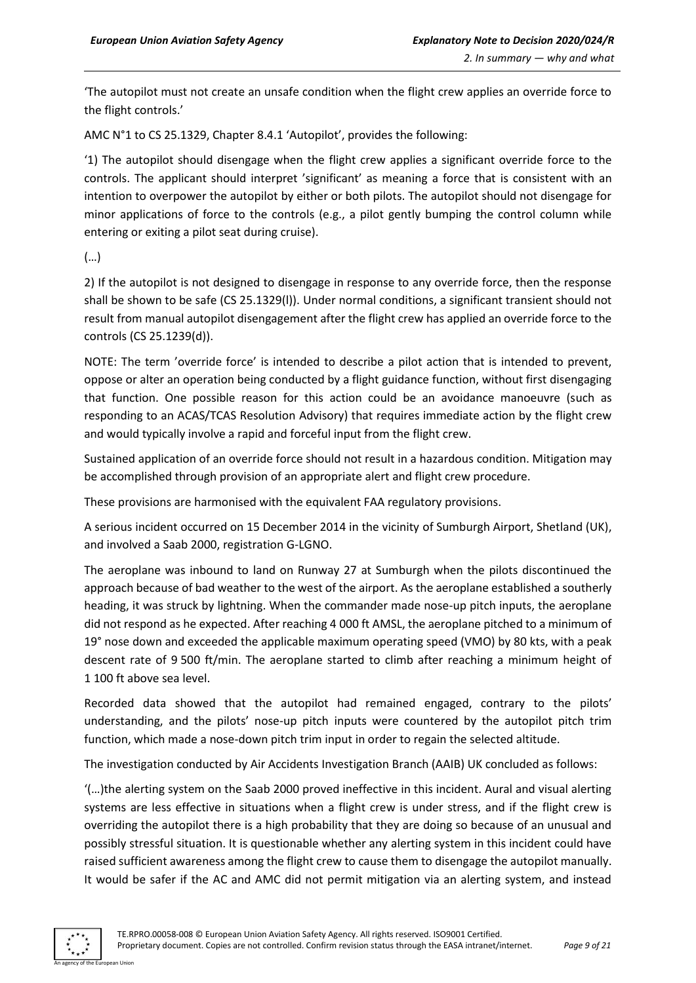'The autopilot must not create an unsafe condition when the flight crew applies an override force to the flight controls.'

AMC N°1 to CS 25.1329, Chapter 8.4.1 'Autopilot', provides the following:

'1) The autopilot should disengage when the flight crew applies a significant override force to the controls. The applicant should interpret 'significant' as meaning a force that is consistent with an intention to overpower the autopilot by either or both pilots. The autopilot should not disengage for minor applications of force to the controls (e.g., a pilot gently bumping the control column while entering or exiting a pilot seat during cruise).

(…)

2) If the autopilot is not designed to disengage in response to any override force, then the response shall be shown to be safe (CS 25.1329(l)). Under normal conditions, a significant transient should not result from manual autopilot disengagement after the flight crew has applied an override force to the controls (CS 25.1239(d)).

NOTE: The term 'override force' is intended to describe a pilot action that is intended to prevent, oppose or alter an operation being conducted by a flight guidance function, without first disengaging that function. One possible reason for this action could be an avoidance manoeuvre (such as responding to an ACAS/TCAS Resolution Advisory) that requires immediate action by the flight crew and would typically involve a rapid and forceful input from the flight crew.

Sustained application of an override force should not result in a hazardous condition. Mitigation may be accomplished through provision of an appropriate alert and flight crew procedure.

These provisions are harmonised with the equivalent FAA regulatory provisions.

A serious incident occurred on 15 December 2014 in the vicinity of Sumburgh Airport, Shetland (UK), and involved a Saab 2000, registration G-LGNO.

The aeroplane was inbound to land on Runway 27 at Sumburgh when the pilots discontinued the approach because of bad weather to the west of the airport. As the aeroplane established a southerly heading, it was struck by lightning. When the commander made nose-up pitch inputs, the aeroplane did not respond as he expected. After reaching 4 000 ft AMSL, the aeroplane pitched to a minimum of 19° nose down and exceeded the applicable maximum operating speed (VMO) by 80 kts, with a peak descent rate of 9 500 ft/min. The aeroplane started to climb after reaching a minimum height of 1 100 ft above sea level.

Recorded data showed that the autopilot had remained engaged, contrary to the pilots' understanding, and the pilots' nose-up pitch inputs were countered by the autopilot pitch trim function, which made a nose-down pitch trim input in order to regain the selected altitude.

The investigation conducted by Air Accidents Investigation Branch (AAIB) UK concluded as follows:

'(…)the alerting system on the Saab 2000 proved ineffective in this incident. Aural and visual alerting systems are less effective in situations when a flight crew is under stress, and if the flight crew is overriding the autopilot there is a high probability that they are doing so because of an unusual and possibly stressful situation. It is questionable whether any alerting system in this incident could have raised sufficient awareness among the flight crew to cause them to disengage the autopilot manually. It would be safer if the AC and AMC did not permit mitigation via an alerting system, and instead

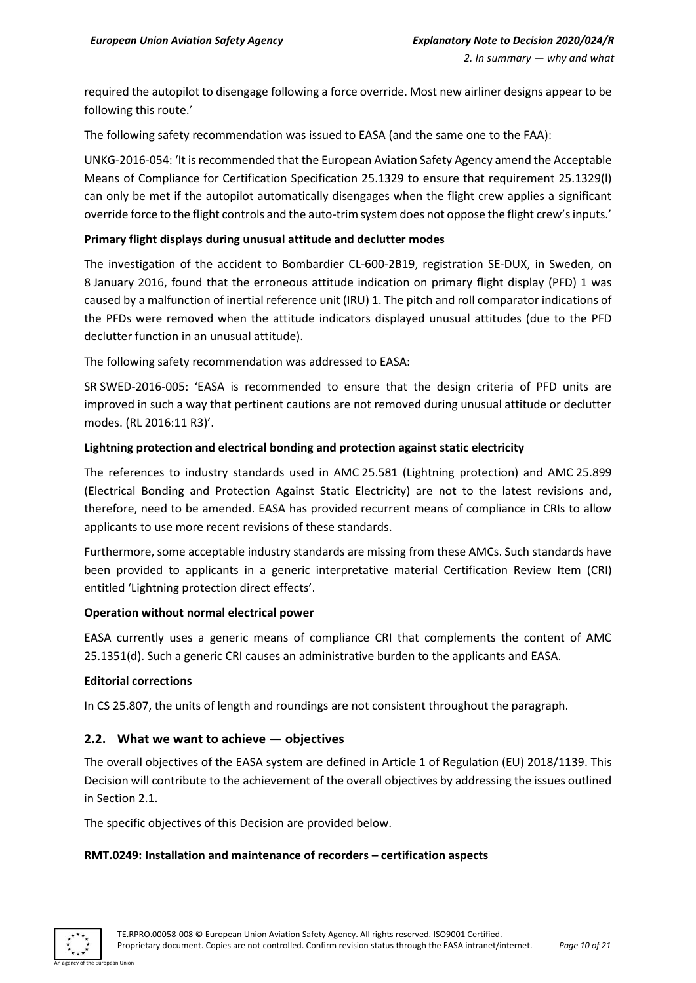required the autopilot to disengage following a force override. Most new airliner designs appear to be following this route.'

The following safety recommendation was issued to EASA (and the same one to the FAA):

UNKG-2016-054: 'It is recommended that the European Aviation Safety Agency amend the Acceptable Means of Compliance for Certification Specification 25.1329 to ensure that requirement 25.1329(l) can only be met if the autopilot automatically disengages when the flight crew applies a significant override force to the flight controls and the auto-trim system does not oppose the flight crew's inputs.'

### **Primary flight displays during unusual attitude and declutter modes**

The investigation of the accident to Bombardier CL-600-2B19, registration SE-DUX, in Sweden, on 8 January 2016, found that the erroneous attitude indication on primary flight display (PFD) 1 was caused by a malfunction of inertial reference unit (IRU) 1. The pitch and roll comparator indications of the PFDs were removed when the attitude indicators displayed unusual attitudes (due to the PFD declutter function in an unusual attitude).

The following safety recommendation was addressed to EASA:

SR SWED-2016-005: 'EASA is recommended to ensure that the design criteria of PFD units are improved in such a way that pertinent cautions are not removed during unusual attitude or declutter modes. (RL 2016:11 R3)'.

# **Lightning protection and electrical bonding and protection against static electricity**

The references to industry standards used in AMC 25.581 (Lightning protection) and AMC 25.899 (Electrical Bonding and Protection Against Static Electricity) are not to the latest revisions and, therefore, need to be amended. EASA has provided recurrent means of compliance in CRIs to allow applicants to use more recent revisions of these standards.

Furthermore, some acceptable industry standards are missing from these AMCs. Such standards have been provided to applicants in a generic interpretative material Certification Review Item (CRI) entitled 'Lightning protection direct effects'.

#### **Operation without normal electrical power**

EASA currently uses a generic means of compliance CRI that complements the content of AMC 25.1351(d). Such a generic CRI causes an administrative burden to the applicants and EASA.

#### **Editorial corrections**

In CS 25.807, the units of length and roundings are not consistent throughout the paragraph.

# <span id="page-9-0"></span>**2.2. What we want to achieve — objectives**

The overall objectives of the EASA system are defined in Article 1 of Regulation (EU) 2018/1139. This Decision will contribute to the achievement of the overall objectives by addressing the issues outlined in Section 2.1.

The specific objectives of this Decision are provided below.

#### **RMT.0249: Installation and maintenance of recorders – certification aspects**

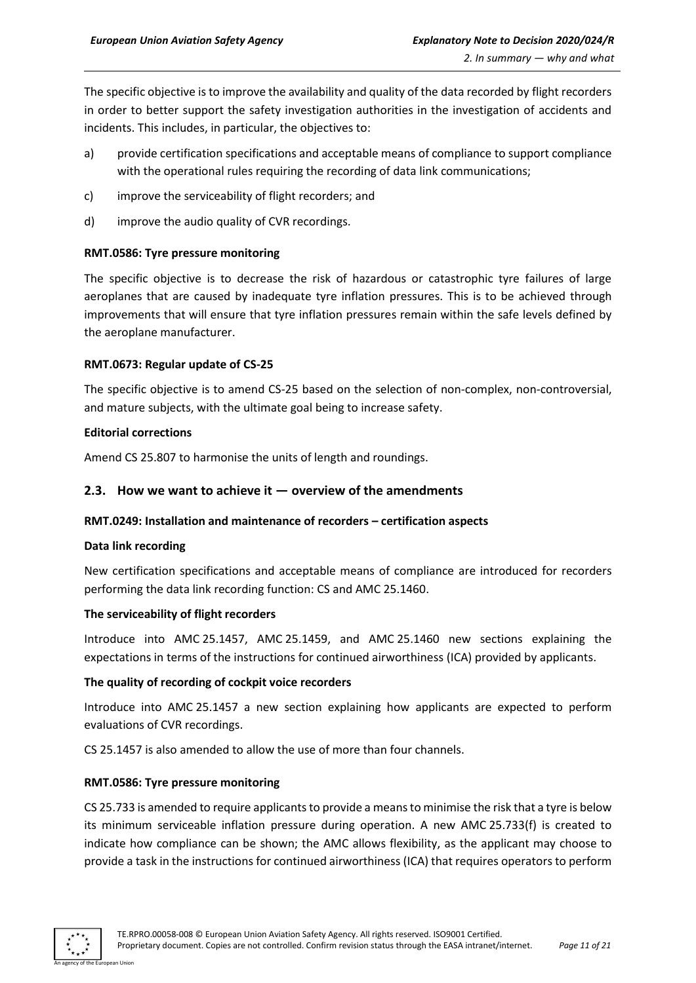The specific objective is to improve the availability and quality of the data recorded by flight recorders in order to better support the safety investigation authorities in the investigation of accidents and incidents. This includes, in particular, the objectives to:

- a) provide certification specifications and acceptable means of compliance to support compliance with the operational rules requiring the recording of data link communications;
- c) improve the serviceability of flight recorders; and
- d) improve the audio quality of CVR recordings.

# **RMT.0586: Tyre pressure monitoring**

The specific objective is to decrease the risk of hazardous or catastrophic tyre failures of large aeroplanes that are caused by inadequate tyre inflation pressures. This is to be achieved through improvements that will ensure that tyre inflation pressures remain within the safe levels defined by the aeroplane manufacturer.

#### **RMT.0673: Regular update of CS-25**

The specific objective is to amend CS-25 based on the selection of non-complex, non-controversial, and mature subjects, with the ultimate goal being to increase safety.

#### **Editorial corrections**

Amend CS 25.807 to harmonise the units of length and roundings.

# <span id="page-10-0"></span>**2.3. How we want to achieve it — overview of the amendments**

#### **RMT.0249: Installation and maintenance of recorders – certification aspects**

#### **Data link recording**

New certification specifications and acceptable means of compliance are introduced for recorders performing the data link recording function: CS and AMC 25.1460.

#### **The serviceability of flight recorders**

Introduce into AMC 25.1457, AMC 25.1459, and AMC 25.1460 new sections explaining the expectations in terms of the instructions for continued airworthiness (ICA) provided by applicants.

#### **The quality of recording of cockpit voice recorders**

Introduce into AMC 25.1457 a new section explaining how applicants are expected to perform evaluations of CVR recordings.

CS 25.1457 is also amended to allow the use of more than four channels.

#### **RMT.0586: Tyre pressure monitoring**

CS 25.733 is amended to require applicants to provide a means to minimise the risk that a tyre is below its minimum serviceable inflation pressure during operation. A new AMC 25.733(f) is created to indicate how compliance can be shown; the AMC allows flexibility, as the applicant may choose to provide a task in the instructions for continued airworthiness (ICA) that requires operators to perform

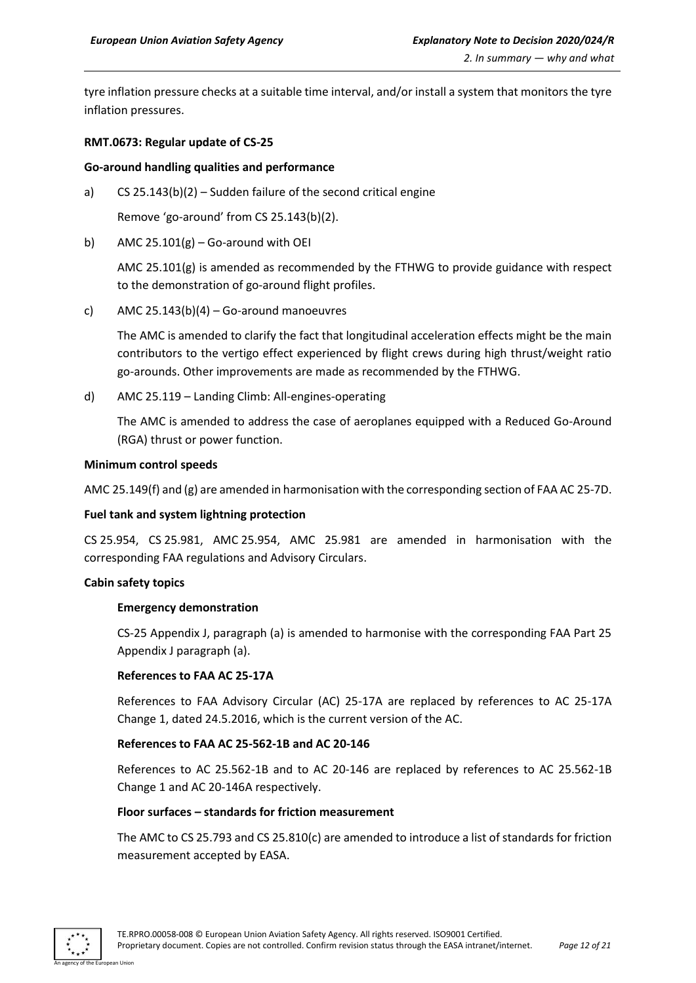tyre inflation pressure checks at a suitable time interval, and/or install a system that monitors the tyre inflation pressures.

#### **RMT.0673: Regular update of CS-25**

#### **Go-around handling qualities and performance**

a) CS 25.143(b)(2) – Sudden failure of the second critical engine

Remove 'go-around' from CS 25.143(b)(2).

b) AMC  $25.101(g) - Go$ -around with OEI

AMC 25.101(g) is amended as recommended by the FTHWG to provide guidance with respect to the demonstration of go-around flight profiles.

c) AMC  $25.143(b)(4)$  – Go-around manoeuvres

The AMC is amended to clarify the fact that longitudinal acceleration effects might be the main contributors to the vertigo effect experienced by flight crews during high thrust/weight ratio go-arounds. Other improvements are made as recommended by the FTHWG.

d) AMC 25.119 – Landing Climb: All-engines-operating

The AMC is amended to address the case of aeroplanes equipped with a Reduced Go-Around (RGA) thrust or power function.

#### **Minimum control speeds**

AMC 25.149(f) and (g) are amended in harmonisation with the corresponding section of FAA AC 25-7D.

#### **Fuel tank and system lightning protection**

CS 25.954, CS 25.981, AMC 25.954, AMC 25.981 are amended in harmonisation with the corresponding FAA regulations and Advisory Circulars.

#### **Cabin safety topics**

#### **Emergency demonstration**

CS-25 Appendix J, paragraph (a) is amended to harmonise with the corresponding FAA Part 25 Appendix J paragraph (a).

#### **References to FAA AC 25-17A**

References to FAA Advisory Circular (AC) 25-17A are replaced by references to AC 25-17A Change 1, dated 24.5.2016, which is the current version of the AC.

#### **References to FAA AC 25-562-1B and AC 20-146**

References to AC 25.562-1B and to AC 20-146 are replaced by references to AC 25.562-1B Change 1 and AC 20-146A respectively.

#### **Floor surfaces – standards for friction measurement**

The AMC to CS 25.793 and CS 25.810(c) are amended to introduce a list of standards for friction measurement accepted by EASA.

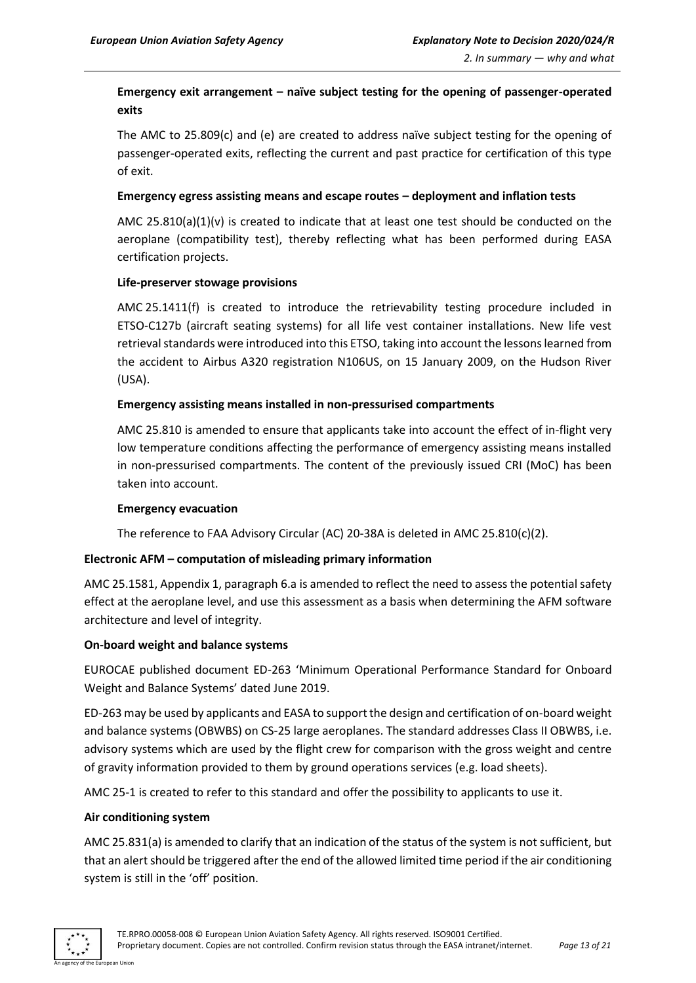# **Emergency exit arrangement – naïve subject testing for the opening of passenger-operated exits**

The AMC to 25.809(c) and (e) are created to address naïve subject testing for the opening of passenger-operated exits, reflecting the current and past practice for certification of this type of exit.

#### **Emergency egress assisting means and escape routes – deployment and inflation tests**

AMC 25.810(a)(1)(v) is created to indicate that at least one test should be conducted on the aeroplane (compatibility test), thereby reflecting what has been performed during EASA certification projects.

# **Life-preserver stowage provisions**

AMC 25.1411(f) is created to introduce the retrievability testing procedure included in ETSO-C127b (aircraft seating systems) for all life vest container installations. New life vest retrieval standards were introduced into this ETSO, taking into account the lessons learned from the accident to Airbus A320 registration N106US, on 15 January 2009, on the Hudson River (USA).

# **Emergency assisting means installed in non-pressurised compartments**

AMC 25.810 is amended to ensure that applicants take into account the effect of in-flight very low temperature conditions affecting the performance of emergency assisting means installed in non-pressurised compartments. The content of the previously issued CRI (MoC) has been taken into account.

#### **Emergency evacuation**

The reference to FAA Advisory Circular (AC) 20-38A is deleted in AMC 25.810(c)(2).

# **Electronic AFM – computation of misleading primary information**

AMC 25.1581, Appendix 1, paragraph 6.a is amended to reflect the need to assess the potential safety effect at the aeroplane level, and use this assessment as a basis when determining the AFM software architecture and level of integrity.

# **On-board weight and balance systems**

EUROCAE published document ED-263 'Minimum Operational Performance Standard for Onboard Weight and Balance Systems' dated June 2019.

ED-263 may be used by applicants and EASA to support the design and certification of on-board weight and balance systems (OBWBS) on CS-25 large aeroplanes. The standard addresses Class II OBWBS, i.e. advisory systems which are used by the flight crew for comparison with the gross weight and centre of gravity information provided to them by ground operations services (e.g. load sheets).

AMC 25-1 is created to refer to this standard and offer the possibility to applicants to use it.

#### **Air conditioning system**

AMC 25.831(a) is amended to clarify that an indication of the status of the system is not sufficient, but that an alert should be triggered after the end of the allowed limited time period if the air conditioning system is still in the 'off' position.

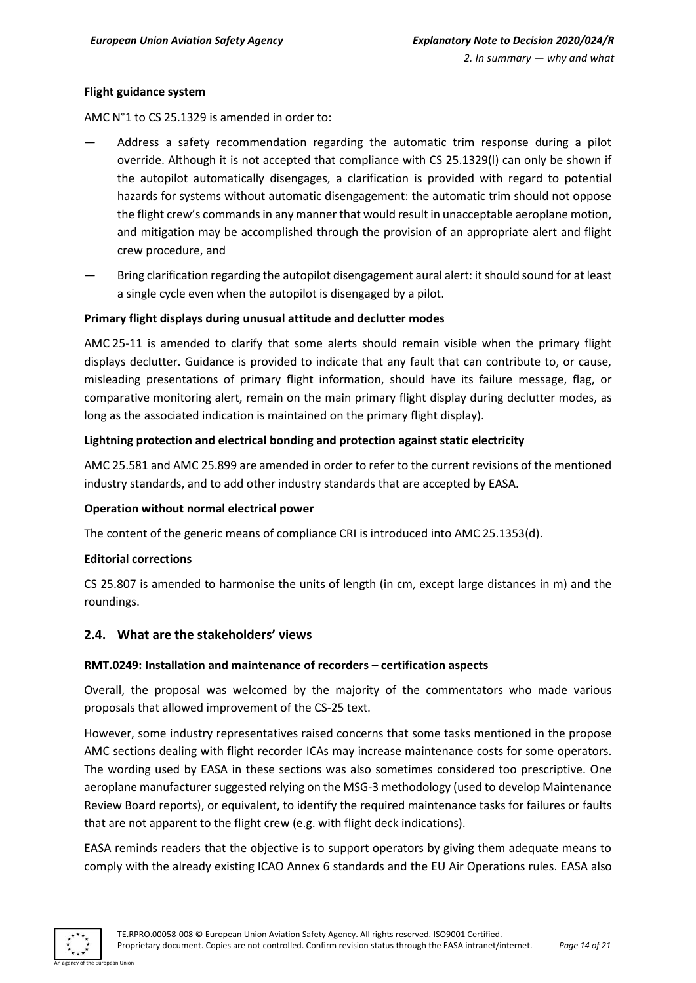#### **Flight guidance system**

AMC N°1 to CS 25.1329 is amended in order to:

- Address a safety recommendation regarding the automatic trim response during a pilot override. Although it is not accepted that compliance with CS 25.1329(l) can only be shown if the autopilot automatically disengages, a clarification is provided with regard to potential hazards for systems without automatic disengagement: the automatic trim should not oppose the flight crew's commands in any manner that would result in unacceptable aeroplane motion, and mitigation may be accomplished through the provision of an appropriate alert and flight crew procedure, and
- Bring clarification regarding the autopilot disengagement aural alert: it should sound for at least a single cycle even when the autopilot is disengaged by a pilot.

#### **Primary flight displays during unusual attitude and declutter modes**

AMC 25-11 is amended to clarify that some alerts should remain visible when the primary flight displays declutter. Guidance is provided to indicate that any fault that can contribute to, or cause, misleading presentations of primary flight information, should have its failure message, flag, or comparative monitoring alert, remain on the main primary flight display during declutter modes, as long as the associated indication is maintained on the primary flight display).

#### **Lightning protection and electrical bonding and protection against static electricity**

AMC 25.581 and AMC 25.899 are amended in order to refer to the current revisions of the mentioned industry standards, and to add other industry standards that are accepted by EASA.

#### **Operation without normal electrical power**

The content of the generic means of compliance CRI is introduced into AMC 25.1353(d).

#### **Editorial corrections**

CS 25.807 is amended to harmonise the units of length (in cm, except large distances in m) and the roundings.

# <span id="page-13-0"></span>**2.4. What are the stakeholders' views**

#### **RMT.0249: Installation and maintenance of recorders – certification aspects**

Overall, the proposal was welcomed by the majority of the commentators who made various proposals that allowed improvement of the CS-25 text.

However, some industry representatives raised concerns that some tasks mentioned in the propose AMC sections dealing with flight recorder ICAs may increase maintenance costs for some operators. The wording used by EASA in these sections was also sometimes considered too prescriptive. One aeroplane manufacturer suggested relying on the MSG-3 methodology (used to develop Maintenance Review Board reports), or equivalent, to identify the required maintenance tasks for failures or faults that are not apparent to the flight crew (e.g. with flight deck indications).

EASA reminds readers that the objective is to support operators by giving them adequate means to comply with the already existing ICAO Annex 6 standards and the EU Air Operations rules. EASA also

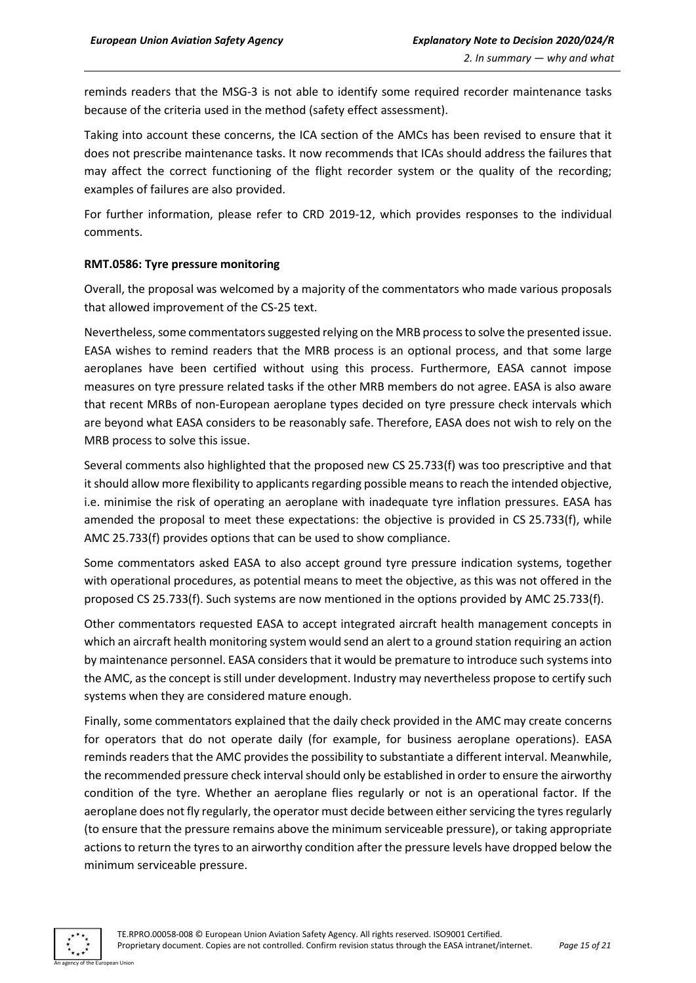reminds readers that the MSG-3 is not able to identify some required recorder maintenance tasks because of the criteria used in the method (safety effect assessment).

Taking into account these concerns, the ICA section of the AMCs has been revised to ensure that it does not prescribe maintenance tasks. It now recommends that ICAs should address the failures that may affect the correct functioning of the flight recorder system or the quality of the recording; examples of failures are also provided.

For further information, please refer to CRD 2019-12, which provides responses to the individual comments.

#### **RMT.0586: Tyre pressure monitoring**

Overall, the proposal was welcomed by a majority of the commentators who made various proposals that allowed improvement of the CS-25 text.

Nevertheless, some commentators suggested relying on the MRB process to solve the presented issue. EASA wishes to remind readers that the MRB process is an optional process, and that some large aeroplanes have been certified without using this process. Furthermore, EASA cannot impose measures on tyre pressure related tasks if the other MRB members do not agree. EASA is also aware that recent MRBs of non-European aeroplane types decided on tyre pressure check intervals which are beyond what EASA considers to be reasonably safe. Therefore, EASA does not wish to rely on the MRB process to solve this issue.

Several comments also highlighted that the proposed new CS 25.733(f) was too prescriptive and that it should allow more flexibility to applicants regarding possible means to reach the intended objective, i.e. minimise the risk of operating an aeroplane with inadequate tyre inflation pressures. EASA has amended the proposal to meet these expectations: the objective is provided in CS 25.733(f), while AMC 25.733(f) provides options that can be used to show compliance.

Some commentators asked EASA to also accept ground tyre pressure indication systems, together with operational procedures, as potential means to meet the objective, as this was not offered in the proposed CS 25.733(f). Such systems are now mentioned in the options provided by AMC 25.733(f).

Other commentators requested EASA to accept integrated aircraft health management concepts in which an aircraft health monitoring system would send an alert to a ground station requiring an action by maintenance personnel. EASA considers that it would be premature to introduce such systems into the AMC, as the concept is still under development. Industry may nevertheless propose to certify such systems when they are considered mature enough.

Finally, some commentators explained that the daily check provided in the AMC may create concerns for operators that do not operate daily (for example, for business aeroplane operations). EASA reminds readers that the AMC provides the possibility to substantiate a different interval. Meanwhile, the recommended pressure check interval should only be established in order to ensure the airworthy condition of the tyre. Whether an aeroplane flies regularly or not is an operational factor. If the aeroplane does not fly regularly, the operator must decide between either servicing the tyres regularly (to ensure that the pressure remains above the minimum serviceable pressure), or taking appropriate actions to return the tyres to an airworthy condition after the pressure levels have dropped below the minimum serviceable pressure.

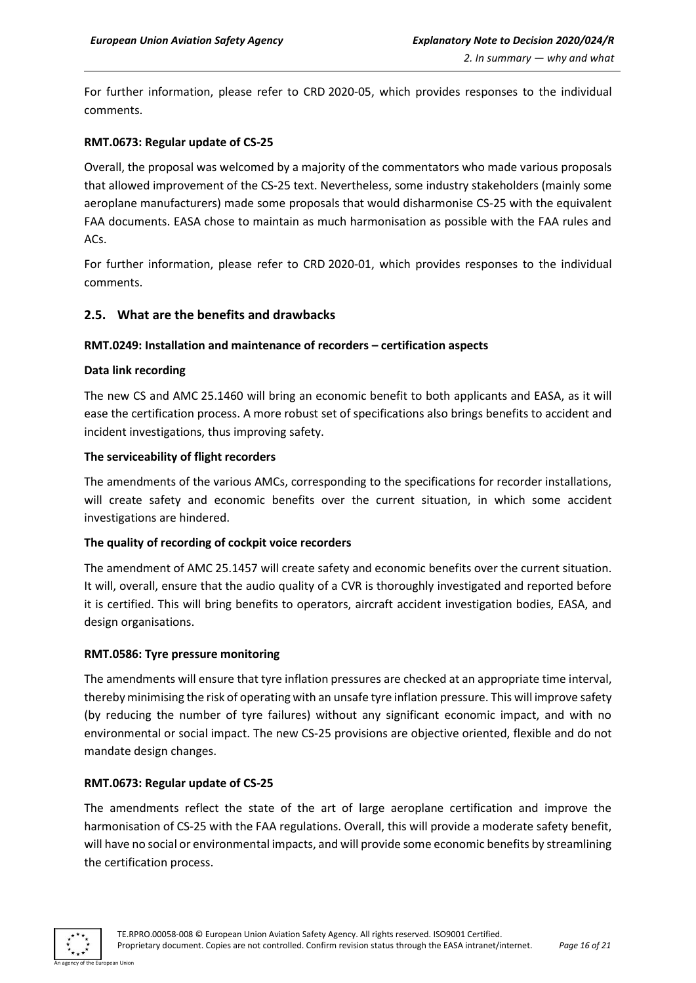For further information, please refer to CRD 2020-05, which provides responses to the individual comments.

#### **RMT.0673: Regular update of CS-25**

Overall, the proposal was welcomed by a majority of the commentators who made various proposals that allowed improvement of the CS-25 text. Nevertheless, some industry stakeholders (mainly some aeroplane manufacturers) made some proposals that would disharmonise CS-25 with the equivalent FAA documents. EASA chose to maintain as much harmonisation as possible with the FAA rules and ACs.

For further information, please refer to CRD 2020-01, which provides responses to the individual comments.

# <span id="page-15-0"></span>**2.5. What are the benefits and drawbacks**

# **RMT.0249: Installation and maintenance of recorders – certification aspects**

#### **Data link recording**

The new CS and AMC 25.1460 will bring an economic benefit to both applicants and EASA, as it will ease the certification process. A more robust set of specifications also brings benefits to accident and incident investigations, thus improving safety.

#### **The serviceability of flight recorders**

The amendments of the various AMCs, corresponding to the specifications for recorder installations, will create safety and economic benefits over the current situation, in which some accident investigations are hindered.

#### **The quality of recording of cockpit voice recorders**

The amendment of AMC 25.1457 will create safety and economic benefits over the current situation. It will, overall, ensure that the audio quality of a CVR is thoroughly investigated and reported before it is certified. This will bring benefits to operators, aircraft accident investigation bodies, EASA, and design organisations.

#### **RMT.0586: Tyre pressure monitoring**

The amendments will ensure that tyre inflation pressures are checked at an appropriate time interval, thereby minimising the risk of operating with an unsafe tyre inflation pressure. This will improve safety (by reducing the number of tyre failures) without any significant economic impact, and with no environmental or social impact. The new CS-25 provisions are objective oriented, flexible and do not mandate design changes.

#### **RMT.0673: Regular update of CS-25**

The amendments reflect the state of the art of large aeroplane certification and improve the harmonisation of CS-25 with the FAA regulations. Overall, this will provide a moderate safety benefit, will have no social or environmental impacts, and will provide some economic benefits by streamlining the certification process.

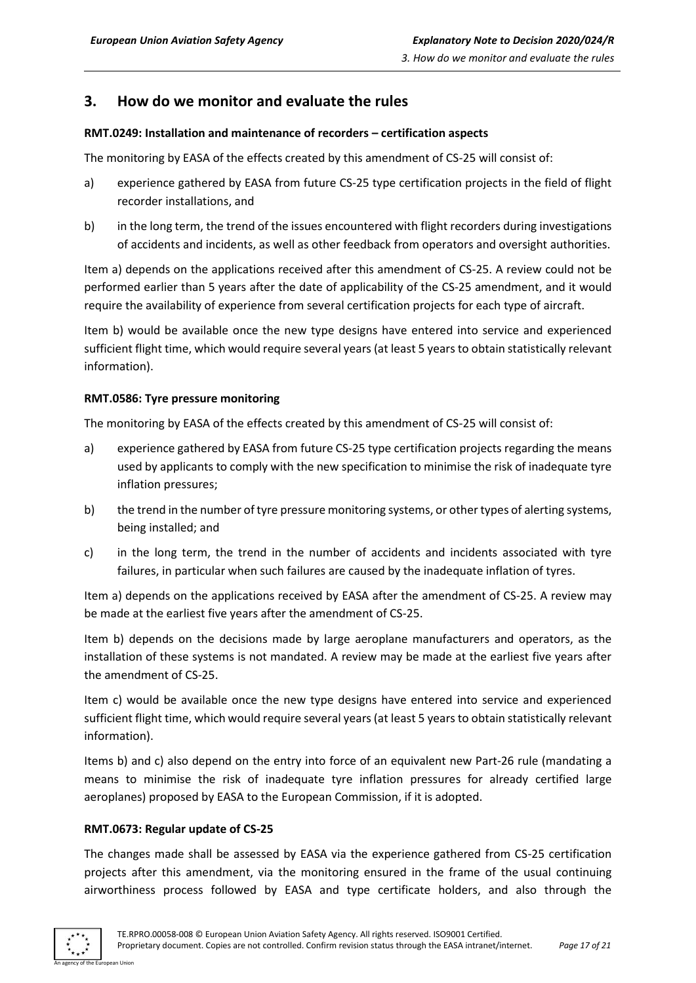# <span id="page-16-0"></span>**3. How do we monitor and evaluate the rules**

# **RMT.0249: Installation and maintenance of recorders – certification aspects**

The monitoring by EASA of the effects created by this amendment of CS-25 will consist of:

- a) experience gathered by EASA from future CS-25 type certification projects in the field of flight recorder installations, and
- b) in the long term, the trend of the issues encountered with flight recorders during investigations of accidents and incidents, as well as other feedback from operators and oversight authorities.

Item a) depends on the applications received after this amendment of CS-25. A review could not be performed earlier than 5 years after the date of applicability of the CS-25 amendment, and it would require the availability of experience from several certification projects for each type of aircraft.

Item b) would be available once the new type designs have entered into service and experienced sufficient flight time, which would require several years (at least 5 years to obtain statistically relevant information).

# **RMT.0586: Tyre pressure monitoring**

The monitoring by EASA of the effects created by this amendment of CS-25 will consist of:

- a) experience gathered by EASA from future CS-25 type certification projects regarding the means used by applicants to comply with the new specification to minimise the risk of inadequate tyre inflation pressures;
- b) the trend in the number of tyre pressure monitoring systems, or other types of alerting systems, being installed; and
- c) in the long term, the trend in the number of accidents and incidents associated with tyre failures, in particular when such failures are caused by the inadequate inflation of tyres.

Item a) depends on the applications received by EASA after the amendment of CS-25. A review may be made at the earliest five years after the amendment of CS-25.

Item b) depends on the decisions made by large aeroplane manufacturers and operators, as the installation of these systems is not mandated. A review may be made at the earliest five years after the amendment of CS-25.

Item c) would be available once the new type designs have entered into service and experienced sufficient flight time, which would require several years (at least 5 years to obtain statistically relevant information).

Items b) and c) also depend on the entry into force of an equivalent new Part-26 rule (mandating a means to minimise the risk of inadequate tyre inflation pressures for already certified large aeroplanes) proposed by EASA to the European Commission, if it is adopted.

#### **RMT.0673: Regular update of CS-25**

The changes made shall be assessed by EASA via the experience gathered from CS-25 certification projects after this amendment, via the monitoring ensured in the frame of the usual continuing airworthiness process followed by EASA and type certificate holders, and also through the

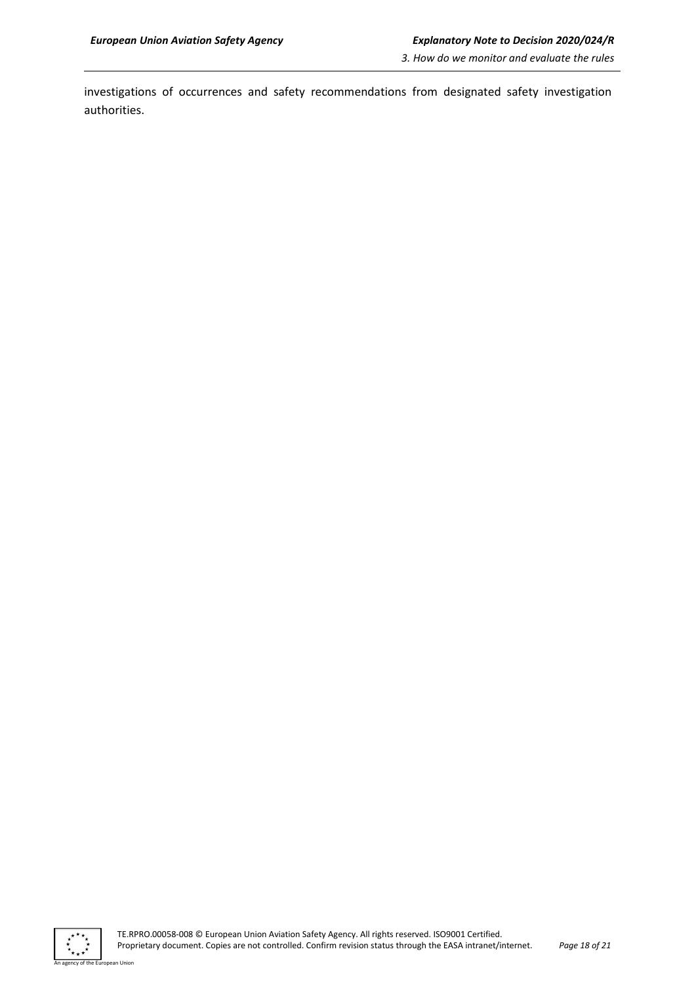investigations of occurrences and safety recommendations from designated safety investigation authorities.

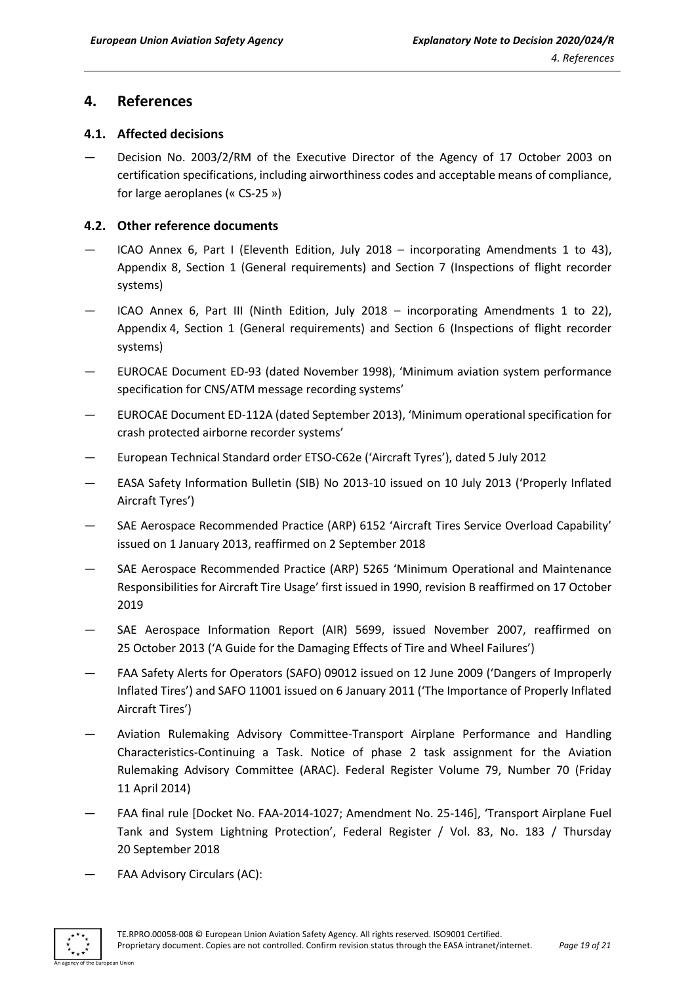# <span id="page-18-0"></span>**4. References**

# <span id="page-18-1"></span>**4.1. Affected decisions**

— Decision No. 2003/2/RM of the Executive Director of the Agency of 17 October 2003 on certification specifications, including airworthiness codes and acceptable means of compliance, for large aeroplanes (« CS-25 »)

# <span id="page-18-2"></span>**4.2. Other reference documents**

- ICAO Annex 6, Part I (Eleventh Edition, July 2018 incorporating Amendments 1 to 43), Appendix 8, Section 1 (General requirements) and Section 7 (Inspections of flight recorder systems)
- ICAO Annex 6, Part III (Ninth Edition, July 2018 incorporating Amendments 1 to 22), Appendix 4, Section 1 (General requirements) and Section 6 (Inspections of flight recorder systems)
- EUROCAE Document ED-93 (dated November 1998), 'Minimum aviation system performance specification for CNS/ATM message recording systems'
- EUROCAE Document ED-112A (dated September 2013), 'Minimum operational specification for crash protected airborne recorder systems'
- European Technical Standard order ETSO-C62e ('Aircraft Tyres'), dated 5 July 2012
- EASA Safety Information Bulletin (SIB) No 2013-10 issued on 10 July 2013 ('Properly Inflated Aircraft Tyres')
- SAE Aerospace Recommended Practice (ARP) 6152 'Aircraft Tires Service Overload Capability' issued on 1 January 2013, reaffirmed on 2 September 2018
- SAE Aerospace Recommended Practice (ARP) 5265 'Minimum Operational and Maintenance Responsibilities for Aircraft Tire Usage' first issued in 1990, revision B reaffirmed on 17 October 2019
- SAE Aerospace Information Report (AIR) 5699, issued November 2007, reaffirmed on 25 October 2013 ('A Guide for the Damaging Effects of Tire and Wheel Failures')
- FAA Safety Alerts for Operators (SAFO) 09012 issued on 12 June 2009 ('Dangers of Improperly Inflated Tires') and SAFO 11001 issued on 6 January 2011 ('The Importance of Properly Inflated Aircraft Tires')
- Aviation Rulemaking Advisory Committee-Transport Airplane Performance and Handling Characteristics-Continuing a Task. Notice of phase 2 task assignment for the Aviation Rulemaking Advisory Committee (ARAC). Federal Register Volume 79, Number 70 (Friday 11 April 2014)
- FAA final rule [Docket No. FAA-2014-1027; Amendment No. 25-146], 'Transport Airplane Fuel Tank and System Lightning Protection', Federal Register / Vol. 83, No. 183 / Thursday 20 September 2018
- FAA Advisory Circulars (AC):

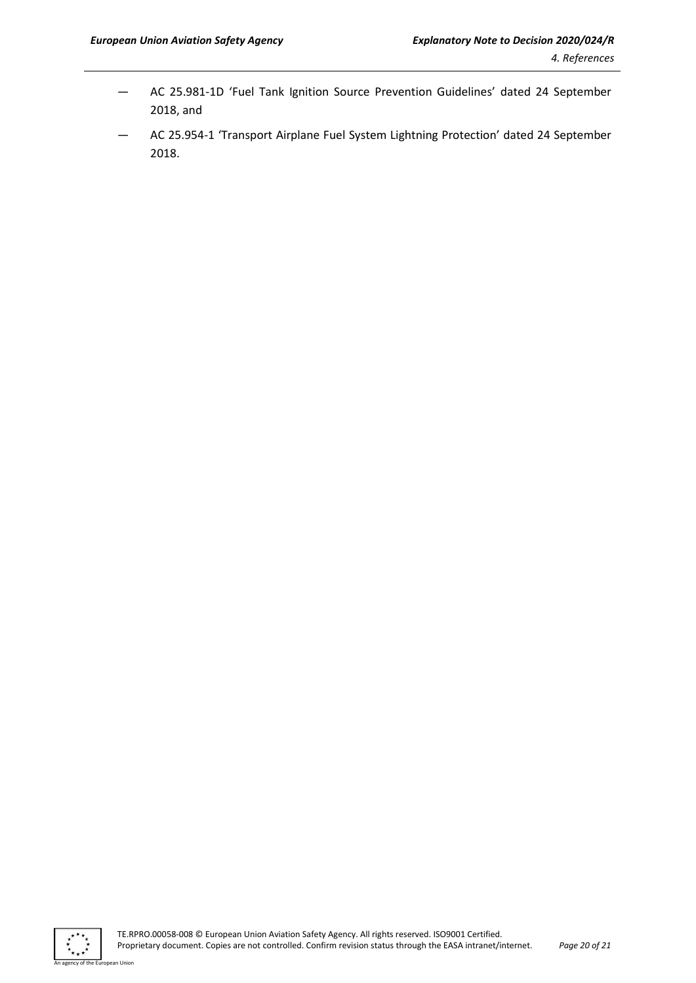- AC 25.981-1D 'Fuel Tank Ignition Source Prevention Guidelines' dated 24 September 2018, and
- AC 25.954-1 'Transport Airplane Fuel System Lightning Protection' dated 24 September 2018.



an Union